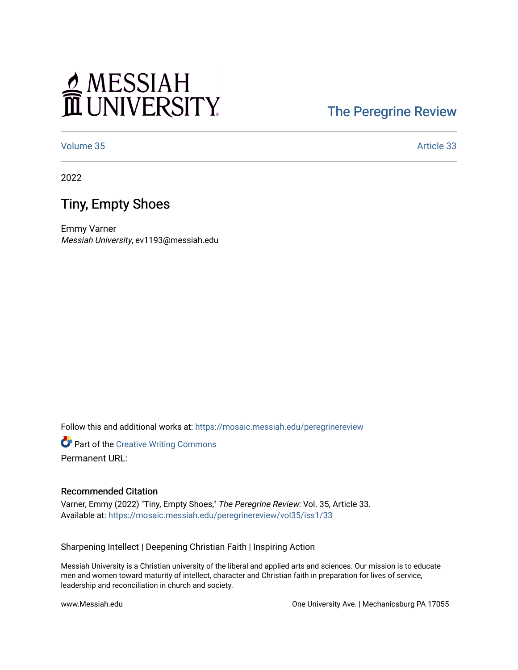# MESSIAH

#### [The Peregrine Review](https://mosaic.messiah.edu/peregrinereview)

[Volume 35](https://mosaic.messiah.edu/peregrinereview/vol35) Article 33

2022

#### Tiny, Empty Shoes

Emmy Varner Messiah University, ev1193@messiah.edu

Follow this and additional works at: [https://mosaic.messiah.edu/peregrinereview](https://mosaic.messiah.edu/peregrinereview?utm_source=mosaic.messiah.edu%2Fperegrinereview%2Fvol35%2Fiss1%2F33&utm_medium=PDF&utm_campaign=PDFCoverPages) 

**Part of the Creative Writing Commons** Permanent URL:

#### Recommended Citation

Varner, Emmy (2022) "Tiny, Empty Shoes," The Peregrine Review: Vol. 35, Article 33. Available at: [https://mosaic.messiah.edu/peregrinereview/vol35/iss1/33](https://mosaic.messiah.edu/peregrinereview/vol35/iss1/33?utm_source=mosaic.messiah.edu%2Fperegrinereview%2Fvol35%2Fiss1%2F33&utm_medium=PDF&utm_campaign=PDFCoverPages)

Sharpening Intellect | Deepening Christian Faith | Inspiring Action

Messiah University is a Christian university of the liberal and applied arts and sciences. Our mission is to educate men and women toward maturity of intellect, character and Christian faith in preparation for lives of service, leadership and reconciliation in church and society.

www.Messiah.edu One University Ave. | Mechanicsburg PA 17055